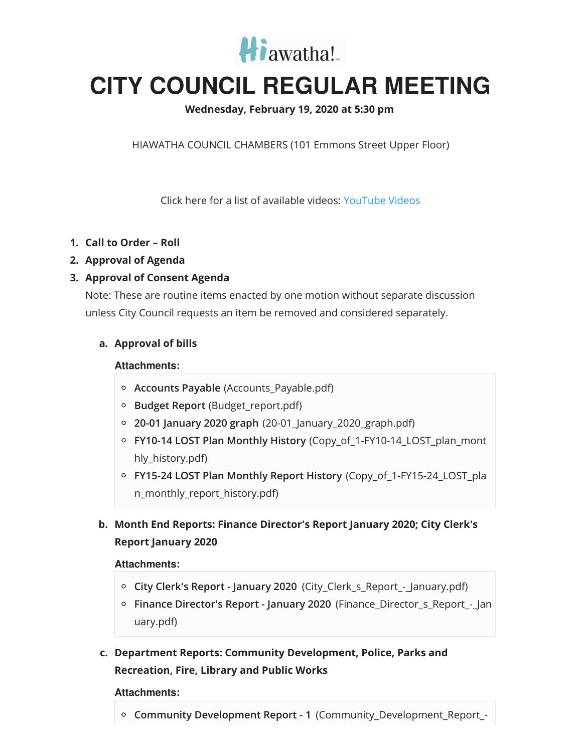

# **CITY COUNCIL REGULAR MEETING**

## **Wednesday, February 19, 2020 at 5:30 pm**

HIAWATHA COUNCIL CHAMBERS (101 Emmons Street Upper Floor)

Click here for a list of available videos: [YouTube](https://www.youtube.com/channel/UC3Vyub-x0FNe8YImqf5XsOQ) Videos

- **1. Call to Order – Roll**
- **2. Approval of Agenda**
- **3. Approval of Consent Agenda**

Note: These are routine items enacted by one motion without separate discussion unless City Council requests an item be removed and considered separately.

## **a. Approval of bills**

#### **Attachments:**

- **Accounts Payable** (Accounts Payable.pdf)
- **Budget Report** (Budget\_report.pdf)
- **20-01 January 2020 graph** (20-01\_January\_2020\_graph.pdf)
- **FY10-14 LOST Plan Monthly History** (Copy\_of\_1-FY10-14\_LOST\_plan\_mont hly\_history.pdf)
- **FY15-24 LOST Plan Monthly Report History** (Copy\_of\_1-FY15-24\_LOST\_pla n\_monthly\_report\_history.pdf)

## **b. Month End Reports: Finance Director's Report January 2020; City Clerk's Report January 2020**

#### **Attachments:**

- **City Clerk's Report - January 2020** (City\_Clerk\_s\_Report\_-\_January.pdf)
- **Finance Director's Report - January 2020** (Finance\_Director\_s\_Report\_-\_Jan uary.pdf)
- **c. Department Reports: Community Development, Police, Parks and Recreation, Fire, Library and Public Works**

#### **Attachments:**

**Community Development Report - 1** (Community\_Development\_Report\_-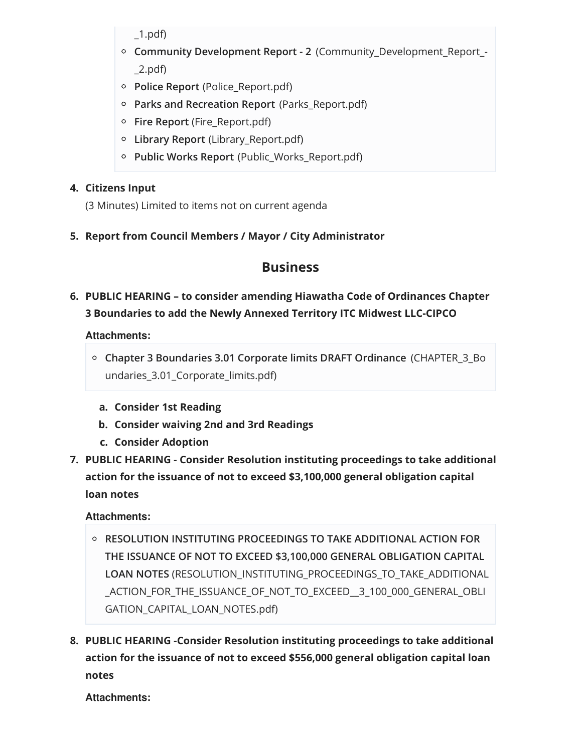$\_1.pdf$ 

- **Community Development Report - 2** (Community\_Development\_Report\_- \_2.pdf)
- **Police Report** (Police\_Report.pdf)
- **Parks and Recreation Report** (Parks\_Report.pdf)
- **Fire Report** (Fire\_Report.pdf)
- **Library Report** (Library\_Report.pdf)
- **Public Works Report** (Public\_Works\_Report.pdf)

## **4. Citizens Input**

(3 Minutes) Limited to items not on current agenda

**5. Report from Council Members / Mayor / City Administrator**

# **Business**

# **6. PUBLIC HEARING – to consider amending Hiawatha Code of Ordinances Chapter 3 Boundaries to add the Newly Annexed Territory ITC Midwest LLC-CIPCO**

## **Attachments:**

- **Chapter 3 Boundaries 3.01 Corporate limits DRAFT Ordinance** (CHAPTER\_3\_Bo undaries\_3.01\_Corporate\_limits.pdf)
	- **a. Consider 1st Reading**
	- **b. Consider waiving 2nd and 3rd Readings**
	- **c. Consider Adoption**
- **7. PUBLIC HEARING - Consider Resolution instituting proceedings to take additional action for the issuance of not to exceed \$3,100,000 general obligation capital loan notes**

## **Attachments:**

- **RESOLUTION INSTITUTING PROCEEDINGS TO TAKE ADDITIONAL ACTION FOR THE ISSUANCE OF NOT TO EXCEED \$3,100,000 GENERAL OBLIGATION CAPITAL LOAN NOTES** (RESOLUTION\_INSTITUTING\_PROCEEDINGS\_TO\_TAKE\_ADDITIONAL \_ACTION\_FOR\_THE\_ISSUANCE\_OF\_NOT\_TO\_EXCEED\_\_3\_100\_000\_GENERAL\_OBLI GATION\_CAPITAL\_LOAN\_NOTES.pdf)
- **8. PUBLIC HEARING -Consider Resolution instituting proceedings to take additional action for the issuance of not to exceed \$556,000 general obligation capital loan notes**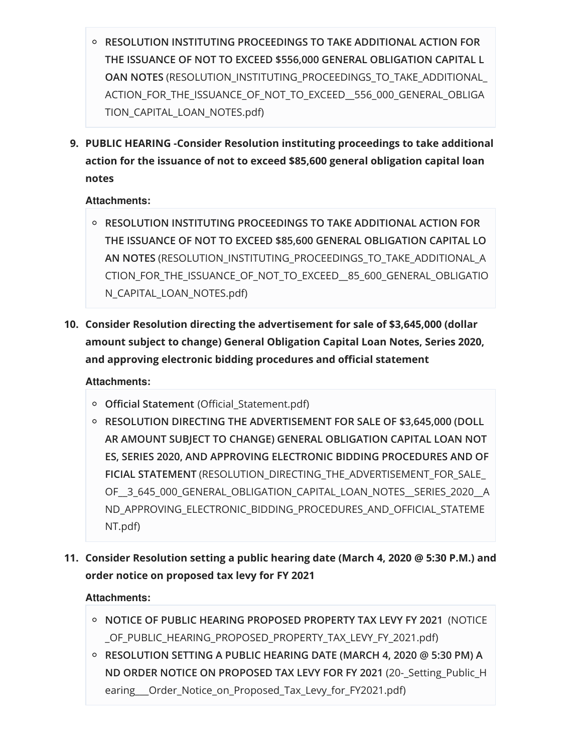- **RESOLUTION INSTITUTING PROCEEDINGS TO TAKE ADDITIONAL ACTION FOR THE ISSUANCE OF NOT TO EXCEED \$556,000 GENERAL OBLIGATION CAPITAL L OAN NOTES** (RESOLUTION\_INSTITUTING\_PROCEEDINGS\_TO\_TAKE\_ADDITIONAL\_ ACTION\_FOR\_THE\_ISSUANCE\_OF\_NOT\_TO\_EXCEED\_556\_000\_GENERAL\_OBLIGA TION\_CAPITAL\_LOAN\_NOTES.pdf)
- **9. PUBLIC HEARING -Consider Resolution instituting proceedings to take additional action for the issuance of not to exceed \$85,600 general obligation capital loan notes**

## **Attachments:**

- **RESOLUTION INSTITUTING PROCEEDINGS TO TAKE ADDITIONAL ACTION FOR THE ISSUANCE OF NOT TO EXCEED \$85,600 GENERAL OBLIGATION CAPITAL LO AN NOTES** (RESOLUTION\_INSTITUTING\_PROCEEDINGS\_TO\_TAKE\_ADDITIONAL\_A CTION\_FOR\_THE\_ISSUANCE\_OF\_NOT\_TO\_EXCEED\_\_85\_600\_GENERAL\_OBLIGATIO N\_CAPITAL\_LOAN\_NOTES.pdf)
- **10. Consider Resolution directing the advertisement for sale of \$3,645,000 (dollar amount subject to change) General Obligation Capital Loan Notes, Series 2020, and approving electronic bidding procedures and official statement**

## **Attachments:**

- **Official Statement** (Official\_Statement.pdf)
- **RESOLUTION DIRECTING THE ADVERTISEMENT FOR SALE OF \$3,645,000 (DOLL AR AMOUNT SUBJECT TO CHANGE) GENERAL OBLIGATION CAPITAL LOAN NOT ES, SERIES 2020, AND APPROVING ELECTRONIC BIDDING PROCEDURES AND OF FICIAL STATEMENT** (RESOLUTION\_DIRECTING\_THE\_ADVERTISEMENT\_FOR\_SALE\_ OF\_\_3\_645\_000\_GENERAL\_OBLIGATION\_CAPITAL\_LOAN\_NOTES\_\_SERIES\_2020\_\_A ND\_APPROVING\_ELECTRONIC\_BIDDING\_PROCEDURES\_AND\_OFFICIAL\_STATEME NT.pdf)
- **11. Consider Resolution setting a public hearing date (March 4, 2020 @ 5:30 P.M.) and order notice on proposed tax levy for FY 2021**

- **NOTICE OF PUBLIC HEARING PROPOSED PROPERTY TAX LEVY FY 2021** (NOTICE \_OF\_PUBLIC\_HEARING\_PROPOSED\_PROPERTY\_TAX\_LEVY\_FY\_2021.pdf)
- **RESOLUTION SETTING A PUBLIC HEARING DATE (MARCH 4, 2020 @ 5:30 PM) A ND ORDER NOTICE ON PROPOSED TAX LEVY FOR FY 2021** (20-\_Setting\_Public\_H earing Order Notice on Proposed Tax Levy for FY2021.pdf)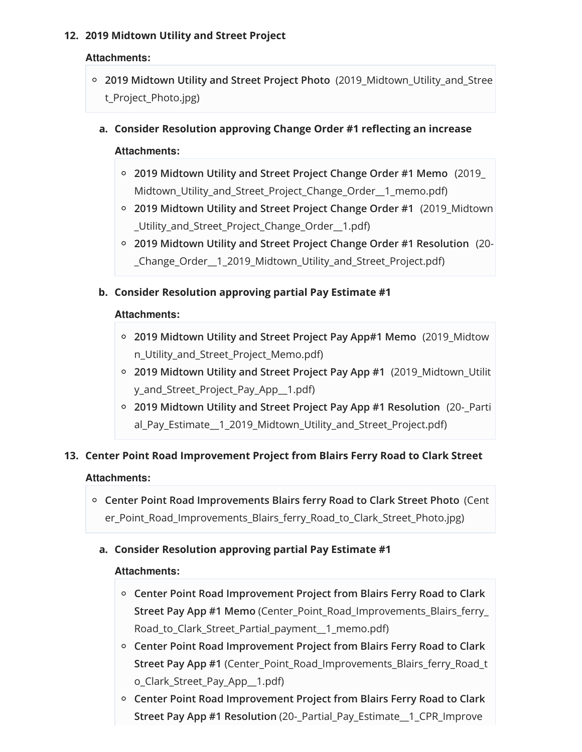## **12. 2019 Midtown Utility and Street Project**

## **Attachments:**

**2019 Midtown Utility and Street Project Photo** (2019\_Midtown\_Utility\_and\_Stree t\_Project\_Photo.jpg)

## **a. Consider Resolution approving Change Order #1 reflecting an increase**

#### **Attachments:**

- **2019 Midtown Utility and Street Project Change Order #1 Memo** (2019\_ Midtown\_Utility\_and\_Street\_Project\_Change\_Order\_\_1\_memo.pdf)
- **2019 Midtown Utility and Street Project Change Order #1** (2019\_Midtown \_Utility\_and\_Street\_Project\_Change\_Order\_\_1.pdf)
- **2019 Midtown Utility and Street Project Change Order #1 Resolution** (20- \_Change\_Order\_\_1\_2019\_Midtown\_Utility\_and\_Street\_Project.pdf)

### **b. Consider Resolution approving partial Pay Estimate #1**

#### **Attachments:**

- **2019 Midtown Utility and Street Project Pay App#1 Memo** (2019\_Midtow n\_Utility\_and\_Street\_Project\_Memo.pdf)
- **2019 Midtown Utility and Street Project Pay App #1** (2019\_Midtown\_Utilit y\_and\_Street\_Project\_Pay\_App\_\_1.pdf)
- **2019 Midtown Utility and Street Project Pay App #1 Resolution** (20-\_Parti al\_Pay\_Estimate\_\_1\_2019\_Midtown\_Utility\_and\_Street\_Project.pdf)

## **13. Center Point Road Improvement Project from Blairs Ferry Road to Clark Street**

#### **Attachments:**

**Center Point Road Improvements Blairs ferry Road to Clark Street Photo** (Cent er\_Point\_Road\_Improvements\_Blairs\_ferry\_Road\_to\_Clark\_Street\_Photo.jpg)

## **a. Consider Resolution approving partial Pay Estimate #1**

- **Center Point Road Improvement Project from Blairs Ferry Road to Clark Street Pay App #1 Memo** (Center\_Point\_Road\_Improvements\_Blairs\_ferry\_ Road to Clark Street Partial payment 1 memo.pdf)
- **Center Point Road Improvement Project from Blairs Ferry Road to Clark Street Pay App #1** (Center\_Point\_Road\_Improvements\_Blairs\_ferry\_Road\_t o\_Clark\_Street\_Pay\_App\_\_1.pdf)
- **Center Point Road Improvement Project from Blairs Ferry Road to Clark Street Pay App #1 Resolution** (20-\_Partial\_Pay\_Estimate\_\_1\_CPR\_Improve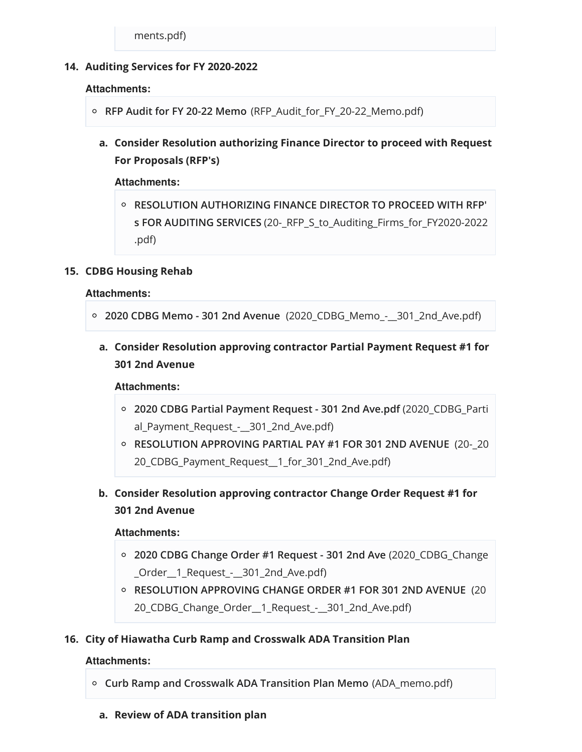#### **14. Auditing Services for FY 2020-2022**

#### **Attachments:**

- **RFP Audit for FY 20-22 Memo** (RFP\_Audit\_for\_FY\_20-22\_Memo.pdf)
	- **a. Consider Resolution authorizing Finance Director to proceed with Request For Proposals (RFP's)**

#### **Attachments:**

**RESOLUTION AUTHORIZING FINANCE DIRECTOR TO PROCEED WITH RFP' s FOR AUDITING SERVICES** (20-\_RFP\_S\_to\_Auditing\_Firms\_for\_FY2020-2022 .pdf)

#### **15. CDBG Housing Rehab**

#### **Attachments:**

```
2020 CDBG Memo - 301 2nd Avenue (2020_CDBG_Memo_-__301_2nd_Ave.pdf)
```
**a. Consider Resolution approving contractor Partial Payment Request #1 for 301 2nd Avenue**

#### **Attachments:**

- **2020 CDBG Partial Payment Request - 301 2nd Ave.pdf** (2020\_CDBG\_Parti al\_Payment\_Request\_-\_\_301\_2nd\_Ave.pdf)
- **RESOLUTION APPROVING PARTIAL PAY #1 FOR 301 2ND AVENUE** (20-\_20 20\_CDBG\_Payment\_Request\_\_1\_for\_301\_2nd\_Ave.pdf)

**b. Consider Resolution approving contractor Change Order Request #1 for 301 2nd Avenue**

#### **Attachments:**

- **2020 CDBG Change Order #1 Request - 301 2nd Ave** (2020\_CDBG\_Change \_Order\_\_1\_Request\_-\_\_301\_2nd\_Ave.pdf)
- **RESOLUTION APPROVING CHANGE ORDER #1 FOR 301 2ND AVENUE** (20 20\_CDBG\_Change\_Order\_\_1\_Request\_-\_\_301\_2nd\_Ave.pdf)

#### **16. City of Hiawatha Curb Ramp and Crosswalk ADA Transition Plan**

- **Curb Ramp and Crosswalk ADA Transition Plan Memo** (ADA\_memo.pdf)
	- **a. Review of ADA transition plan**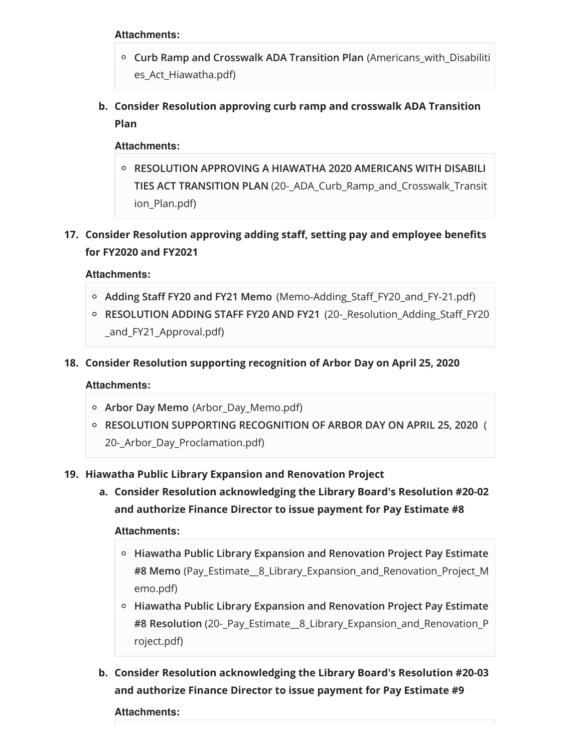#### **Attachments:**

- **Curb Ramp and Crosswalk ADA Transition Plan** (Americans\_with\_Disabiliti es\_Act\_Hiawatha.pdf)
- **b. Consider Resolution approving curb ramp and crosswalk ADA Transition Plan**

#### **Attachments:**

- **RESOLUTION APPROVING A HIAWATHA 2020 AMERICANS WITH DISABILI TIES ACT TRANSITION PLAN** (20-\_ADA\_Curb\_Ramp\_and\_Crosswalk\_Transit ion\_Plan.pdf)
- **17. Consider Resolution approving adding staff, setting pay and employee benefits for FY2020 and FY2021**

#### **Attachments:**

- **Adding Staff FY20 and FY21 Memo** (Memo-Adding\_Staff\_FY20\_and\_FY-21.pdf)
- **RESOLUTION ADDING STAFF FY20 AND FY21** (20-\_Resolution\_Adding\_Staff\_FY20 \_and\_FY21\_Approval.pdf)
- **18. Consider Resolution supporting recognition of Arbor Day on April 25, 2020**

#### **Attachments:**

- **Arbor Day Memo** (Arbor\_Day\_Memo.pdf)
- **RESOLUTION SUPPORTING RECOGNITION OF ARBOR DAY ON APRIL 25, 2020** ( 20-\_Arbor\_Day\_Proclamation.pdf)

#### **19. Hiawatha Public Library Expansion and Renovation Project**

**a. Consider Resolution acknowledging the Library Board's Resolution #20-02 and authorize Finance Director to issue payment for Pay Estimate #8**

#### **Attachments:**

- **Hiawatha Public Library Expansion and Renovation Project Pay Estimate #8 Memo** (Pay\_Estimate\_\_8\_Library\_Expansion\_and\_Renovation\_Project\_M emo.pdf)
- **Hiawatha Public Library Expansion and Renovation Project Pay Estimate #8 Resolution** (20-\_Pay\_Estimate\_\_8\_Library\_Expansion\_and\_Renovation\_P roject.pdf)
- **b. Consider Resolution acknowledging the Library Board's Resolution #20-03 and authorize Finance Director to issue payment for Pay Estimate #9**